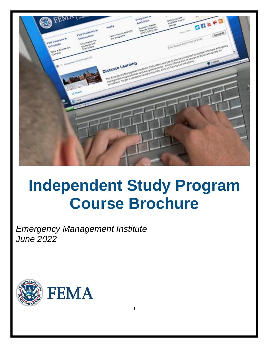

# **Independent Study Program Course Brochure**

1

*Emergency Management Institute June 2022*

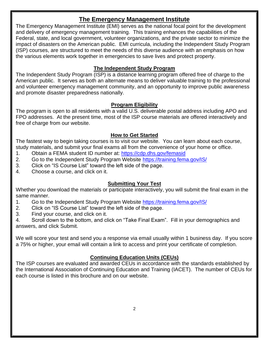# **The Emergency Management Institute**

The Emergency Management Institute (EMI) serves as the national focal point for the development and delivery of emergency management training. This training enhances the capabilities of the Federal, state, and local government, volunteer organizations, and the private sector to minimize the impact of disasters on the American public. EMI curricula, including the Independent Study Program (ISP) courses, are structured to meet the needs of this diverse audience with an emphasis on how the various elements work together in emergencies to save lives and protect property.

# **The Independent Study Program**

The Independent Study Program (ISP) is a distance learning program offered free of charge to the American public. It serves as both an alternate means to deliver valuable training to the professional and volunteer emergency management community, and an opportunity to improve public awareness and promote disaster preparedness nationally.

# **Program Eligibility**

The program is open to all residents with a valid U.S. deliverable postal address including APO and FPO addresses. At the present time, most of the ISP course materials are offered interactively and free of charge from our website.

# **How to Get Started**

The fastest way to begin taking courses is to visit our website. You can learn about each course, study materials, and submit your final exams all from the convenience of your home or office.

- 1. Obtain a FEMA student ID number at:<https://cdp.dhs.gov/femasid>
- 2. Go to the Independent Study Program Website <https://training.fema.gov/IS/>
- 3. Click on "IS Course List" toward the left side of the page.
- 4. Choose a course, and click on it.

# **Submitting Your Test**

Whether you download the materials or participate interactively, you will submit the final exam in the same manner.

- 1. Go to the Independent Study Program Website <https://training.fema.gov/IS/>
- 2. Click on "IS Course List" toward the left side of the page.
- 3. Find your course, and click on it.

4. Scroll down to the bottom, and click on "Take Final Exam". Fill in your demographics and answers, and click Submit.

We will score your test and send you a response via email usually within 1 business day. If you score a 75% or higher, your email will contain a link to access and print your certificate of completion.

# **Continuing Education Units (CEUs)**

The ISP courses are evaluated and awarded CEUs in accordance with the standards established by the International Association of Continuing Education and Training (IACET). The number of CEUs for each course is listed in this brochure and on our website.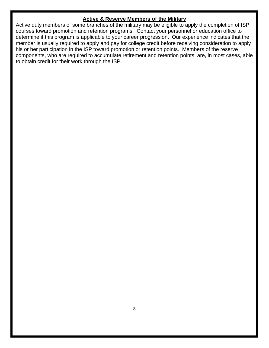## **Active & Reserve Members of the Military**

Active duty members of some branches of the military may be eligible to apply the completion of ISP courses toward promotion and retention programs. Contact your personnel or education office to determine if this program is applicable to your career progression. Our experience indicates that the member is usually required to apply and pay for college credit before receiving consideration to apply his or her participation in the ISP toward promotion or retention points. Members of the reserve components, who are required to accumulate retirement and retention points, are, in most cases, able to obtain credit for their work through the ISP.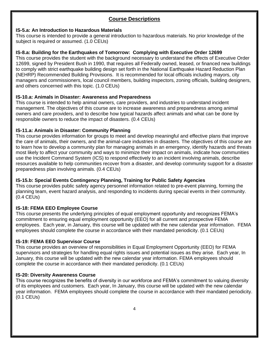# **Course Descriptions**

## **IS-5.a: An Introduction to Hazardous Materials**

This course is intended to provide a general introduction to hazardous materials. No prior knowledge of the subject is required or assumed. (1.0 CEUs)

## **IS-8.a: Building for the Earthquakes of Tomorrow: Complying with Executive Order 12699**

This course provides the student with the background necessary to understand the effects of Executive Order 12699, signed by President Bush in 1990, that requires all Federally owned, leased, or financed new buildings to comply with strict earthquake building design set forth in the National Earthquake Hazard Reduction Plan (NEHRP) Recommended Building Provisions. It is recommended for local officials including mayors, city managers and commissioners, local council members, building inspectors, zoning officials, building designers, and others concerned with this topic. (1.0 CEUs)

## **IS-10.a: Animals in Disaster: Awareness and Preparedness**

This course is intended to help animal owners, care providers, and industries to understand incident management. The objectives of this course are to increase awareness and preparedness among animal owners and care providers, and to describe how typical hazards affect animals and what can be done by responsible owners to reduce the impact of disasters. (0.4 CEUs)

# **IS-11.a: Animals in Disaster: Community Planning**

This course provides information for groups to meet and develop meaningful and effective plans that improve the care of animals, their owners, and the animal-care industries in disasters. The objectives of this course are to learn how to develop a community plan for managing animals in an emergency, identify hazards and threats most likely to affect your community and ways to minimize their impact on animals, indicate how communities use the Incident Command System (ICS) to respond effectively to an incident involving animals, describe resources available to help communities recover from a disaster, and develop community support for a disaster preparedness plan involving animals. (0.4 CEUs)

# **IS-15.b: Special Events Contingency Planning, Training for Public Safety Agencies**

This course provides public safety agency personnel information related to pre-event planning, forming the planning team, event hazard analysis, and responding to incidents during special events in their community. (0.4 CEUs)

# **IS-18: FEMA EEO Employee Course**

This course presents the underlying principles of equal employment opportunity and recognizes FEMA's commitment to ensuring equal employment opportunity (EEO) for all current and prospective FEMA employees. Each year, in January, this course will be updated with the new calendar year information. FEMA employees should complete the course in accordance with their mandated periodicity. (0.1 CEUs)

## **IS-19: FEMA EEO Supervisor Course**

This course provides an overview of responsibilities in Equal Employment Opportunity (EEO) for FEMA supervisors and strategies for handling equal rights issues and potential issues as they arise. Each year, In January, this course will be updated with the new calendar year information. FEMA employees should complete the course in accordance with their mandated periodicity. (0.1 CEUs)

## **IS-20: Diversity Awareness Course**

This course recognizes the benefits of diversity in our workforce and FEMA's commitment to valuing diversity of its employees and customers. Each year, In January, this course will be updated with the new calendar year information. FEMA employees should complete the course in accordance with their mandated periodicity. (0.1 CEUs)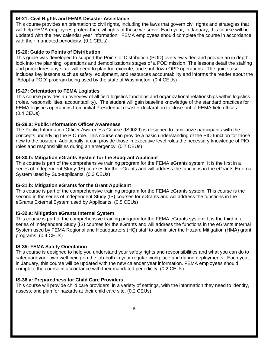#### **IS-21: Civil Rights and FEMA Disaster Assistance**

This course provides an orientation to civil rights, including the laws that govern civil rights and strategies that will help FEMA employees protect the civil rights of those we serve. Each year, in January, this course will be updated with the new calendar year information. FEMA employees should complete the course in accordance with their mandated periodicity. (0.1 CEUs)

## **IS-26: Guide to Points of Distribution**

This guide was developed to support the Points of Distribution (POD) overview video and provide an in depth look into the planning, operations and demobilizations stages of a POD mission. The lessons detail the staffing and procedures any state will need to plan for, execute, and shut down OPD operations. The guide also includes key lessons such as safety, equipment, and resources accountability and informs the reader about the "Adopt a POD" program being used by the state of Washington. (0.4 CEUs)

## **IS-27: Orientation to FEMA Logistics**

This course provides an overview of all field logistics functions and organizational relationships within logistics (roles, responsibilities, accountability). The student will gain baseline knowledge of the standard practices for FEMA logistics operations from initial Presidential disaster declaration to close-out of FEMA field offices. (0.4 CEUs)

## **IS-29.a: Public Information Officer Awareness**

The Public Information Officer Awareness Course (IS0029) is designed to familiarize participants with the concepts underlying the PIO role. This course can provide a basic understanding of the PIO function for those new to the position. Additionally, it can provide those in executive level roles the necessary knowledge of PIO roles and responsibilities during an emergency. (0.7 CEUs)

#### **IS-30.b: Mitigation eGrants System for the Subgrant Applicant**

This course is part of the comprehensive training program for the FEMA eGrants system. It is the first in a series of Independent Study (IS) courses for the eGrants and will address the functions in the eGrants External System used by Sub-applicants. (0.3 CEUs)

## **IS-31.b: Mitigation eGrants for the Grant Applicant**

This course is part of the comprehensive training program for the FEMA eGrants system. This course is the second in the series of Independent Study (IS) courses for eGrants and will address the functions in the eGrants External System used by Applicants. (0.5 CEUs)

## **IS-32.a: Mitigation eGrants Internal System**

This course is part of the comprehensive training program for the FEMA eGrants system. It is the third in a series of Independent Study (IS) courses for the eGrants and will address the functions in the eGrants Internal System used by FEMA Regional and Headquarters (HQ) staff to administer the Hazard Mitigation (HMA) grant programs. (0.4 CEUs)

## **IS-35: FEMA Safety Orientation**

This course is designed to help you understand your safety rights and responsibilities and what you can do to safeguard your own well-being on the job-both in your regular workplace and during deployments. Each year, in January, this course will be updated with the new calendar year information. FEMA employees should complete the course in accordance with their mandated periodicity. (0.2 CEUs)

## **IS-36.a: Preparedness for Child Care Providers**

This course will provide child care providers, in a variety of settings, with the information they need to identify, assess, and plan for hazards at their child care site. (0.2 CEUs)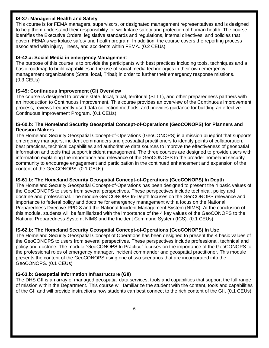#### **IS-37: Managerial Health and Safety**

This course is for FEMA managers, supervisors, or designated management representatives and is designed to help them understand their responsibility for workplace safety and protection of human health. The course identifies the Executive Orders, legislative standards and regulations, internal directives, and policies that govern FEMA's workplace safety and health program. In addition, the course covers the reporting process associated with injury, illness, and accidents within FEMA. (0.2 CEUs)

## **IS-42.a: Social Media in emergency Management**

The purpose of this course is to provide the participants with best practices including tools, techniques and a basic roadmap to build capabilities in the use of social media technologies in their own emergency management organizations (State, local, Tribal) in order to further their emergency response missions. (0.3 CEUs)

## **IS-45: Continuous Improvement (CI) Overview**

The course is designed to provide state, local, tribal, territorial (SLTT), and other preparedness partners with an introduction to Continuous Improvement. This course provides an overview of the Continuous Improvement process, reviews frequently used data collection methods, and provides guidance for building an effective Continuous Improvement Program. (0.1 CEUs)

#### **IS-60.b: The Homeland Security Geospatial Concept-of-Operations (GeoCONOPS) for Planners and Decision Makers**

The Homeland Security Geospatial Concept-of-Operations (GeoCONOPS) is a mission blueprint that supports emergency managers, incident commanders and geospatial practitioners to identify points of collaboration, best practices, technical capabilities and authoritative data sources to improve the effectiveness of geospatial information and tools that support incident management. The three courses are designed to provide users with information explaining the importance and relevance of the GeoCONOPS to the broader homeland security community to encourage engagement and participation in the continued enhancement and expansion of the content of the GeoCONOPS. (0.1 CEUs)

## **IS-61.b: The Homeland Security Geospatial Concept-of-Operations (GeoCONOPS) In Depth**

The Homeland Security Geospatial Concept-of-Operations has been designed to present the 4 basic values of the GeoCONOPS to users from several perspectives. These perspectives include technical, policy and doctrine and professional. The module GeoCONOPS In-Depth focuses on the GeoCONOPS relevance and importance to federal policy and doctrine for emergency management with a focus on the National Preparedness Directive-PPD-8 and the National Incident Management System (NIMS). At the conclusion of this module, students will be familiarized with the importance of the 4 key values of the GeoCONOPS to the National Preparedness System, NIMS and the Incident Command System (ICS). (0.1 CEUs)

## I**S-62.b: The Homeland Security Geospatial Concept-of-Operations (GeoCONOPS) In Use**

The Homeland Security Geospatial Concept of Operations has been designed to present the 4 basic values of the GeoCONOPS to users from several perspectives. These perspectives include professional, technical and policy and doctrine. The module "GeoCONOPS In Practice" focuses on the importance of the GeoCONOPS to the professional roles of emergency manager, incident commander and geospatial practitioner. This module presents the content of the GeoCONOPS using one of two scenarios that are incorporated into the GeoCONOPS. (0.1 CEUs)

## **IS-63.b: Geospatial Information Infrastructure (GII)**

The DHS GII is an array of managed geospatial data services, tools and capabilities that support the full range of mission within the Department. This course will familiarize the student with the content, tools and capabilities of the GII and will provide instructions how students can best connect to the rich content of the GII. (0.1 CEUs)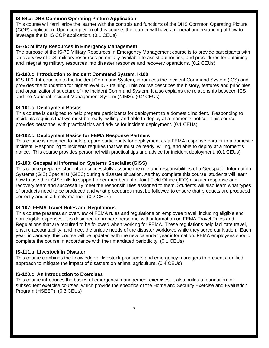#### **IS-64.a: DHS Common Operating Picture Application**

This course will familiarize the learner with the controls and functions of the DHS Common Operating Picture (COP) application. Upon completion of this course, the learner will have a general understanding of how to leverage the DHS COP application. (0.1 CEUs)

## **IS-75: Military Resources in Emergency Management**

The purpose of the IS-75 Military Resources in Emergency Management course is to provide participants with an overview of U.S. military resources potentially available to assist authorities, and procedures for obtaining and integrating military resources into disaster response and recovery operations. (0.2 CEUs)

## **IS-100.c: Introduction to Incident Command System, I-100**

ICS 100, Introduction to the Incident Command System, introduces the Incident Command System (ICS) and provides the foundation for higher level ICS training. This course describes the history, features and principles, and organizational structure of the Incident Command System. It also explains the relationship between ICS and the National Incident Management System (NIMS). (0.2 CEUs)

#### **IS-101.c: Deployment Basics**

This course is designed to help prepare participants for deployment to a domestic incident. Responding to incidents requires that we must be ready, willing, and able to deploy at a moment's notice. This course provides personnel with practical tips and advice for incident deployment. (0.1 CEUs)

#### **IS-102.c: Deployment Basics for FEMA Response Partners**

This course is designed to help prepare participants for deployment as a FEMA response partner to a domestic incident. Responding to incidents requires that we must be ready, willing, and able to deploy at a moment's notice. This course provides personnel with practical tips and advice for incident deployment. (0.1 CEUs)

#### **IS-103: Geospatial Information Systems Specialist (GISS)**

This course prepares students to successfully assume the role and responsibilities of a Geospatial Information Systems (GIS) Specialist (GISS) during a disaster situation. As they complete this course, students will learn how to use their GIS skills to support other members of a Joint Field Office (JFO) disaster response and recovery team and successfully meet the responsibilities assigned to them. Students will also learn what types of products need to be produced and what procedures must be followed to ensure that products are produced correctly and in a timely manner. (0.2 CEUs)

## **IS-107: FEMA Travel Rules and Regulations**

This course presents an overview of FEMA rules and regulations on employee travel, including eligible and non-eligible expenses. It is designed to prepare personnel with information on FEMA Travel Rules and Regulations that are required to be followed when working for FEMA. These regulations help facilitate travel, ensure accountability, and meet the unique needs of the disaster workforce while they serve our Nation. Each year, in January, this course will be updated with the new calendar year information. FEMA employees should complete the course in accordance with their mandated periodicity. (0.1 CEUs)

#### **IS-111.a: Livestock in Disaster**

This course combines the knowledge of livestock producers and emergency managers to present a unified approach to mitigate the impact of disasters on animal agriculture. (0.4 CEUs)

#### **IS-120.c: An Introduction to Exercises**

This course introduces the basics of emergency management exercises. It also builds a foundation for subsequent exercise courses, which provide the specifics of the Homeland Security Exercise and Evaluation Program (HSEEP). (0.3 CEUs)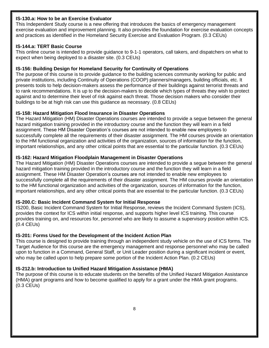#### **IS-130.a: How to be an Exercise Evaluator**

This Independent Study course is a new offering that introduces the basics of emergency management exercise evaluation and improvement planning. It also provides the foundation for exercise evaluation concepts and practices as identified in the Homeland Security Exercise and Evaluation Program. (0.3 CEUs)

#### **IS-144.a: TERT Basic Course**

This online course is intended to provide guidance to 9-1-1 operators, call takers, and dispatchers on what to expect when being deployed to a disaster site. (0.3 CEUs)

#### **IS-156: Building Design for Homeland Security for Continuity of Operations**

The purpose of this course is to provide guidance to the building sciences community working for public and private institutions, including Continuity of Operations (COOP) planners/managers, building officials, etc. It presents tools to help decision-makers assess the performance of their buildings against terrorist threats and to rank recommendations. It is up to the decision-makers to decide which types of threats they wish to protect against and to determine their level of risk against each threat. Those decision makers who consider their buildings to be at high risk can use this guidance as necessary. (0.8 CEUs)

#### **IS-158: Hazard Mitigation Flood Insurance in Disaster Operations**

The Hazard Mitigation (HM) Disaster Operations courses are intended to provide a segue between the general hazard mitigation training provided in the introductory course and the function they will learn in a field assignment. These HM Disaster Operation's courses are not intended to enable new employees to successfully complete all the requirements of their disaster assignment. The HM courses provide an orientation to the HM functional organization and activities of the organization, sources of information for the function, important relationships, and any other critical points that are essential to the particular function. (0.3 CEUs)

#### **IS-162: Hazard Mitigation Floodplain Management in Disaster Operations**

The Hazard Mitigation (HM) Disaster Operations courses are intended to provide a segue between the general hazard mitigation training provided in the introductory course and the function they will learn in a field assignment. These HM Disaster Operation's courses are not intended to enable new employees to successfully complete all the requirements of their disaster assignment. The HM courses provide an orientation to the HM functional organization and activities of the organization, sources of information for the function, important relationships, and any other critical points that are essential to the particular function. (0.3 CEUs)

## **IS-200.C: Basic Incident Command System for Initial Response**

IS200, Basic Incident Command System for Initial Response, reviews the Incident Command System (ICS), provides the context for ICS within initial response, and supports higher level ICS training. This course provides training on, and resources for, personnel who are likely to assume a supervisory position within ICS. (0.4 CEUs)

## **IS-201: Forms Used for the Development of the Incident Action Plan**

This course is designed to provide training through an independent study vehicle on the use of ICS forms. The Target Audience for this course are the emergency management and response personnel who may be called upon to function in a Command, General Staff, or Unit Leader position during a significant incident or event, who may be called upon to help prepare some portion of the Incident Action Plan. (0.2 CEUs)

## **IS-212.b: Introduction to Unified Hazard Mitigation Assistance (HMA)**

The purpose of this course is to educate students on the benefits of the Unified Hazard Mitigation Assistance (HMA) grant programs and how to become qualified to apply for a grant under the HMA grant programs. (0.3 CEUs)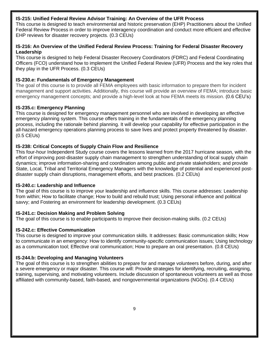#### **IS-215: Unified Federal Review Advisor Training: An Overview of the UFR Process**

This course is designed to teach environmental and historic preservation (EHP) Practitioners about the Unified Federal Review Process in order to improve interagency coordination and conduct more efficient and effective EHP reviews for disaster recovery projects. (0.3 CEUs)

#### **IS-216: An Overview of the Unified Federal Review Process: Training for Federal Disaster Recovery Leadership**

This course is designed to help Federal Disaster Recovery Coordinators (FDRC) and Federal Coordinating Officers (FCO) understand how to implement the Unified Federal Review (UFR) Process and the key roles that they play in the UFR Process. (0.3 CEUs)

#### **IS-230.e: Fundamentals of Emergency Management**

The goal of this course is to provide all FEMA employees with basic information to prepare them for incident management and support activities. Additionally, this course will provide an overview of FEMA; introduce basic emergency management concepts; and provide a high-level look at how FEMA meets its mission. (0.6 CEU's)

#### **IS-235.c: Emergency Planning**

This course is designed for emergency management personnel who are involved in developing an effective emergency planning system. This course offers training in the fundamentals of the emergency planning process, including the rationale behind planning. It will develop your capability for effective participation in the all-hazard emergency operations planning process to save lives and protect property threatened by disaster. (0.5 CEUs)

#### **IS-238: Critical Concepts of Supply Chain Flow and Resilience**

This four-hour Independent Study course covers the lessons learned from the 2017 hurricane season, with the effort of improving post-disaster supply chain management to strengthen understanding of local supply chain dynamics; improve information-sharing and coordination among public and private stakeholders; and provide State, Local, Tribal and Territorial Emergency Managers with the knowledge of potential and experienced postdisaster supply chain disruptions, management efforts, and best practices. (0.2 CEUs)

#### **IS-240.c: Leadership and Influence**

The goal of this course is to improve your leadership and influence skills. This course addresses: Leadership from within; How to facilitate change; How to build and rebuild trust; Using personal influence and political savvy; and Fostering an environment for leadership development. (0.3 CEUs)

## **IS-241.c: Decision Making and Problem Solving**

The goal of this course is to enable participants to improve their decision-making skills. (0.2 CEUs)

## **IS-242.c: Effective Communication**

This course is designed to improve your communication skills. It addresses: Basic communication skills; How to communicate in an emergency: How to identify community-specific communication issues; Using technology as a communication tool; Effective oral communication; How to prepare an oral presentation. (0.8 CEUs)

## **IS-244.b: Developing and Managing Volunteers**

The goal of this course is to strengthen abilities to prepare for and manage volunteers before, during, and after a severe emergency or major disaster. This course will: Provide strategies for identifying, recruiting, assigning, training, supervising, and motivating volunteers. Include discussion of spontaneous volunteers as well as those affiliated with community-based, faith-based, and nongovernmental organizations (NGOs). (0.4 CEUs)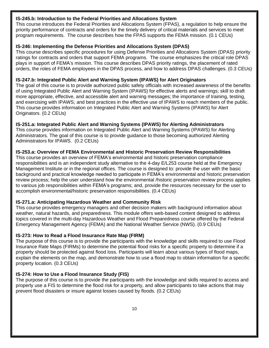## **IS-245.b: Introduction to the Federal Priorities and Allocations System**

This course introduces the Federal Priorities and Allocations System (FPAS), a regulation to help ensure the priority performance of contracts and orders for the timely delivery of critical materials and services to meet program requirements. The course describes how the FPAS supports the FEMA mission. (0.1 CEUs)

## **IS-246: Implementing the Defense Priorities and Allocations System (DPAS)**

This course describes specific procedures for using Defense Priorities and Allocations System (DPAS) priority ratings for contracts and orders that support FEMA programs. The course emphasizes the critical role DPAS plays in support of FEMA's mission. This course describes DPAS priority ratings, the placement of rated orders, the roles of FEMA employees in the DPAS process, and how to address DPAS challenges. (0.3 CEUs)

## **IS-247.b: Integrated Public Alert and Warning System (IPAWS) for Alert Originators**

The goal of this course is to provide authorized public safety officials with increased awareness of the benefits of using Integrated Public Alert and Warning System (IPAWS) for effective alerts and warnings; skill to draft more appropriate, effective, and accessible alert and warning messages; the importance of training, testing, and exercising with IPAWS; and best practices in the effective use of IPAWS to reach members of the public. This course provides information on Integrated Public Alert and Warning Systems (IPAWS) for Alert Originators. (0.2 CEUs)

#### **IS-251.a: Integrated Public Alert and Warning Systems (IPAWS) for Alerting Administrators**

This course provides information on Integrated Public Alert and Warning Systems (IPAWS) for Alerting Administrators. The goal of this course is to provide guidance to those becoming authorized Alerting Administrators for IPAWS. (0.2 CEUs)

#### **IS-253.a: Overview of FEMA Environmental and Historic Preservation Review Responsibilities**

This course provides an overview of FEMA's environmental and historic preservation compliance responsibilities and is an independent study alternative to the 4-day E/L253 course held at the Emergency Management Institute or in the regional offices. The course is designed to: provide the user with the basic background and practical knowledge needed to participate in FEMA's environmental and historic preservation review process; help the user understand how the environmental /historic preservation review process applies to various job responsibilities within FEMA's programs; and, provide the resources necessary for the user to accomplish environmental/historic preservation responsibilities. (0.4 CEUs)

## **IS-271.a: Anticipating Hazardous Weather and Community Risk**

This course provides emergency managers and other decision makers with background information about weather, natural hazards, and preparedness. This module offers web-based content designed to address topics covered in the multi-day Hazardous Weather and Flood Preparedness course offered by the Federal Emergency Management Agency (FEMA) and the National Weather Service (NWS). (0.9 CEUs)

## **IS-273: How to Read a Flood Insurance Rate Map (FIRM)**

The purpose of this course is to provide the participants with the knowledge and skills required to use Flood Insurance Rate Maps (FIRMs) to determine the potential flood risks for a specific property to determine if a property should be protected against flood loss. Participants will learn about various types of flood maps, explain the elements on the map, and demonstrate how to use a flood map to obtain information for a specific property location. (0.3 CEUs)

## **IS-274: How to Use a Flood Insurance Study (FIS)**

The purpose of this course is to provide the participants with the knowledge and skills required to access and properly use a FIS to determine the flood risk for a property, and allow participants to take actions that may prevent flood disasters or insure against losses caused by floods. (0.2 CEUs)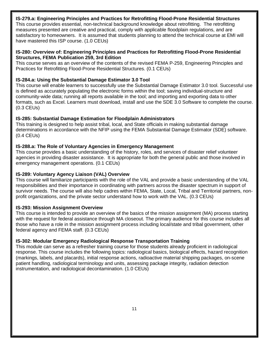## **IS-279.a: Engineering Principles and Practices for Retrofitting Flood-Prone Residential Structures**

This course provides essential, non-technical background knowledge about retrofitting. The retrofitting measures presented are creative and practical, comply with applicable floodplain regulations, and are satisfactory to homeowners. It is assumed that students planning to attend the technical course at EMI will have mastered this ISP course. (1.0 CEUs)

#### **IS-280: Overview of: Engineering Principles and Practices for Retrofitting Flood-Prone Residential Structures, FEMA Publication 259, 3rd Edition**

This course serves as an overview of the contents of the revised FEMA P-259, Engineering Principles and Practices for Retrofitting Flood-Prone Residential Structures. (0.1 CEUs)

#### **IS-284.a: Using the Substantial Damage Estimator 3.0 Tool**

This course will enable learners to successfully use the Substantial Damage Estimator 3.0 tool. Successful use is defined as accurately populating the electronic forms within the tool; saving individual-structure and community-wide data; running all reports available in the tool; and importing and exporting data to other formats, such as Excel. Learners must download, install and use the SDE 3.0 Software to complete the course. (0.3 CEUs)

#### **IS-285: Substantial Damage Estimation for Floodplain Administrators**

This training is designed to help assist tribal, local, and State officials in making substantial damage determinations in accordance with the NFIP using the FEMA Substantial Damage Estimator (SDE) software. (0.4 CEUs)

#### **IS-288.a: The Role of Voluntary Agencies in Emergency Management**

This course provides a basic understanding of the history, roles, and services of disaster relief volunteer agencies in providing disaster assistance. It is appropriate for both the general public and those involved in emergency management operations. (0.1 CEUs)

#### **IS-289: Voluntary Agency Liaison (VAL) Overview**

This course will familiarize participants with the role of the VAL and provide a basic understanding of the VAL responsibilities and their importance in coordinating with partners across the disaster spectrum in support of survivor needs. The course will also help cadres within FEMA, State, Local, Tribal and Territorial partners, nonprofit organizations, and the private sector understand how to work with the VAL. (0.3 CEUs)

#### **IS-293: Mission Assignment Overview**

This course is intended to provide an overview of the basics of the mission assignment (MA) process starting with the request for federal assistance through MA closeout. The primary audience for this course includes all those who have a role in the mission assignment process including local/state and tribal government, other federal agency and FEMA staff. (0.3 CEUs)

#### **IS-302: Modular Emergency Radiological Response Transportation Training**

This module can serve as a refresher training course for those students already proficient in radiological response. This course includes the following topics: radiological basics, biological effects, hazard recognition (markings, labels, and placards), initial response actions, radioactive material shipping packages, on-scene patient handling, radiological terminology and units, assessing package integrity, radiation detection instrumentation, and radiological decontamination. (1.0 CEUs)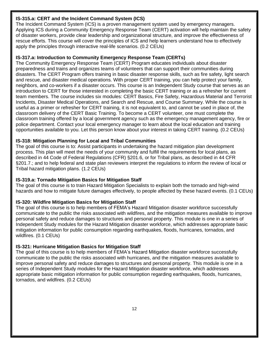## **IS-315.a: CERT and the Incident Command System (ICS)**

The Incident Command System (ICS) is a proven management system used by emergency managers. Applying ICS during a Community Emergency Response Team (CERT) activation will help maintain the safety of disaster workers, provide clear leadership and organizational structure, and improve the effectiveness of rescue efforts. This course will cover the principles of ICS and help learners understand how to effectively apply the principles through interactive real-life scenarios. (0.2 CEUs)

#### **IS-317.a: Introduction to Community Emergency Response Team (CERTs)**

The Community Emergency Response Team (CERT) Program educates individuals about disaster preparedness and trains and organizes teams of volunteers that can support their communities during disasters. The CERT Program offers training in basic disaster response skills, such as fire safety, light search and rescue, and disaster medical operations. With proper CERT training, you can help protect your family, neighbors, and co-workers if a disaster occurs. This course is an Independent Study course that serves as an introduction to CERT for those interested in completing the basic CERT training or as a refresher for current team members. The course includes six modules: CERT Basics, Fire Safety, Hazardous Material and Terrorist Incidents, Disaster Medical Operations, and Search and Rescue, and Course Summary. While the course is useful as a primer or refresher for CERT training, it is not equivalent to, and cannot be used in place of, the classroom delivery of the CERT Basic Training. To become a CERT volunteer, one must complete the classroom training offered by a local government agency such as the emergency management agency, fire or police department. Contact your local emergency manager to learn about the local education and training opportunities available to you. Let this person know about your interest in taking CERT training. (0.2 CEUs)

#### **IS-318: Mitigation Planning for Local and Tribal Communities**

The goal of this course is to: Assist participants in undertaking the hazard mitigation plan development process. This plan will meet the needs of your community and fulfill the requirements for local plans, as described in 44 Code of Federal Regulations (CFR) §201.6, or for Tribal plans, as described in 44 CFR §201.7.; and to help federal and state plan reviewers interpret the regulations to inform the review of local or Tribal hazard mitigation plans. (1.2 CEUs)

## **IS-319.a: Tornado Mitigation Basics for Mitigation Staff**

The goal of this course is to train Hazard Mitigation Specialists to explain both the tornado and high-wind hazards and how to mitigate future damages effectively, to people affected by these hazard events. (0.1 CEUs)

#### **IS-320: Wildfire Mitigation Basics for Mitigation Staff**

The goal of this course is to help members of FEMA's Hazard Mitigation disaster workforce successfully communicate to the public the risks associated with wildfires, and the mitigation measures available to improve personal safety and reduce damages to structures and personal property. This module is one in a series of Independent Study modules for the Hazard Mitigation disaster workforce, which addresses appropriate basic mitigation information for public consumption regarding earthquakes, floods, hurricanes, tornados, and wildfires. (0.1 CEUs)

## **IS-321: Hurricane Mitigation Basics for Mitigation Staff**

The goal of this course is to help members of FEMA's Hazard Mitigation disaster workforce successfully communicate to the public the risks associated with hurricanes, and the mitigation measures available to improve personal safety and reduce damages to structures and personal property. This module is one in a series of Independent Study modules for the Hazard Mitigation disaster workforce, which addresses appropriate basic mitigation information for public consumption regarding earthquakes, floods, hurricanes, tornados, and wildfires. (0.2 CEUs)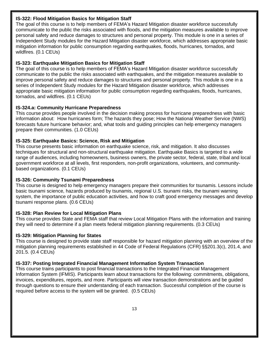## **IS-322: Flood Mitigation Basics for Mitigation Staff**

The goal of this course is to help members of FEMA's Hazard Mitigation disaster workforce successfully communicate to the public the risks associated with floods, and the mitigation measures available to improve personal safety and reduce damages to structures and personal property. This module is one in a series of Independent Study modules for the Hazard Mitigation disaster workforce, which addresses appropriate basic mitigation information for public consumption regarding earthquakes, floods, hurricanes, tornados, and wildfires. (0.1 CEUs)

## **IS-323: Earthquake Mitigation Basics for Mitigation Staff**

The goal of this course is to help members of FEMA's Hazard Mitigation disaster workforce successfully communicate to the public the risks associated with earthquakes, and the mitigation measures available to improve personal safety and reduce damages to structures and personal property. This module is one in a series of Independent Study modules for the Hazard Mitigation disaster workforce, which addresses appropriate basic mitigation information for public consumption regarding earthquakes, floods, hurricanes, tornados, and wildfires. (0.1 CEUs)

## **IS-324.a: Community Hurricane Preparedness**

This course provides people involved in the decision making process for hurricane preparedness with basic information about: How hurricanes form; The hazards they pose; How the National Weather Service (NWS) forecasts future hurricane behavior; and, what tools and guiding principles can help emergency managers prepare their communities. (1.0 CEUs)

## **IS-325: Earthquake Basics: Science, Risk and Mitigation**

This course presents basic information on earthquake science, risk, and mitigation. It also discusses techniques for structural and non-structural earthquake mitigation. Earthquake Basics is targeted to a wide range of audiences, including homeowners, business owners, the private sector, federal, state, tribal and local government workforce at all levels, first responders, non-profit organizations, volunteers, and communitybased organizations. (0.1 CEUs)

## **IS-326: Community Tsunami Preparedness**

This course is designed to help emergency managers prepare their communities for tsunamis. Lessons include basic tsunami science, hazards produced by tsunamis, regional U.S. tsunami risks, the tsunami warning system, the importance of public education activities, and how to craft good emergency messages and develop tsunami response plans. (0.6 CEUs)

## **IS-328: Plan Review for Local Mitigation Plans**

This course provides State and FEMA staff that review Local Mitigation Plans with the information and training they will need to determine if a plan meets federal mitigation planning requirements. (0.3 CEUs)

## **IS-329: Mitigation Planning for States**

This course is designed to provide state staff responsible for hazard mitigation planning with an overview of the mitigation planning requirements established in 44 Code of Federal Regulations (CFR) §§201.3(c), 201.4, and 201.5. (0.4 CEUs)

## **IS-337: Posting Integrated Financial Management Information System Transaction**

This course trains participants to post financial transactions to the Integrated Financial Management Information System (IFMIS). Participants learn about transactions for the following: commitments, obligations, invoices, expenditures, reports, and more. Participants will view transaction demonstrations and be guided through questions to ensure their understanding of each transaction. Successful completion of the course is required before access to the system will be granted. (0.5 CEUs)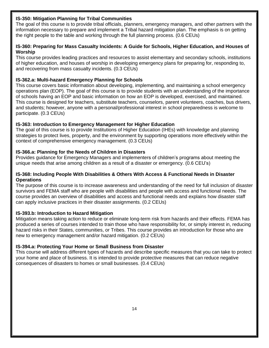## **IS-350: Mitigation Planning for Tribal Communities**

The goal of this course is to provide tribal officials, planners, emergency managers, and other partners with the information necessary to prepare and implement a Tribal hazard mitigation plan. The emphasis is on getting the right people to the table and working through the full planning process. (0.6 CEUs)

#### **IS-360: Preparing for Mass Casualty Incidents: A Guide for Schools, Higher Education, and Houses of Worship**

This course provides leading practices and resources to assist elementary and secondary schools, institutions of higher education, and houses of worship in developing emergency plans for preparing for, responding to, and recovering from mass casualty incidents. (0.3 CEUs)

## **IS-362.a: Multi-hazard Emergency Planning for Schools**

This course covers basic information about developing, implementing, and maintaining a school emergency operations plan (EOP). The goal of this course is to provide students with an understanding of the importance of schools having an EOP and basic information on how an EOP is developed, exercised, and maintained. This course is designed for teachers, substitute teachers, counselors, parent volunteers, coaches, bus drivers, and students; however, anyone with a personal/professional interest in school preparedness is welcome to participate. (0.3 CEUs)

## **IS-363: Introduction to Emergency Management for Higher Education**

The goal of this course is to provide Institutions of Higher Education (IHEs) with knowledge and planning strategies to protect lives, property, and the environment by supporting operations more effectively within the context of comprehensive emergency management. (0.3 CEUs)

#### **IS-366.a: Planning for the Needs of Children in Disasters**

Provides guidance for Emergency Managers and implementers of children's programs about meeting the unique needs that arise among children as a result of a disaster or emergency. (0.6 CEU's)

#### **IS-368: Including People With Disabilities & Others With Access & Functional Needs in Disaster Operations**

The purpose of this course is to increase awareness and understanding of the need for full inclusion of disaster survivors and FEMA staff who are people with disabilities and people with access and functional needs. The course provides an overview of disabilities and access and functional needs and explains how disaster staff can apply inclusive practices in their disaster assignments. (0.2 CEUs)

#### **IS-393.b: Introduction to Hazard Mitigation**

Mitigation means taking action to reduce or eliminate long-term risk from hazards and their effects. FEMA has produced a series of courses intended to train those who have responsibility for, or simply interest in, reducing hazard risks in their States, communities, or Tribes. This course provides an introduction for those who are new to emergency management and/or hazard mitigation. (0.2 CEUs)

#### **IS-394.a: Protecting Your Home or Small Business from Disaster**

This course will address different types of hazards and describe specific measures that you can take to protect your home and place of business. It is intended to provide protective measures that can reduce negative consequences of disasters to homes or small businesses. (0.4 CEUs)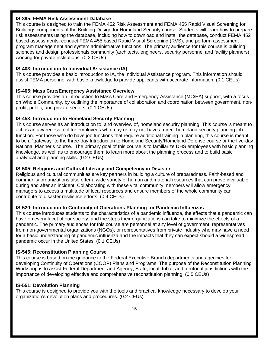#### **IS-395: FEMA Risk Assessment Database**

This course is designed to train the FEMA 452 Risk Assessment and FEMA 455 Rapid Visual Screening for Buildings components of the Building Design for Homeland Security course. Students will learn how to prepare risk assessments using the database, including how to download and install the database, conduct FEMA 452 based assessments, conduct FEMA 455 based Rapid Visual Screening (RVS), and perform assessment program management and system administrative functions. The primary audience for this course is building sciences and design professionals community (architects, engineers, security personnel and facility planners) working for private institutions. (0.2 CEUs)

## **IS-403: Introduction to Individual Assistance (IA)**

This course provides a basic introduction to IA, the Individual Assistance program. This information should assist FEMA personnel with basic knowledge to provide applicants with accurate information. (0.1 CEUs)

## **IS-405: Mass Care/Emergency Assistance Overview**

This course provides an introduction to Mass Care and Emergency Assistance (MC/EA) support, with a focus on Whole Community, by outlining the importance of collaboration and coordination between government, nonprofit, public, and private sectors. (0.1 CEUs)

#### **IS-453: Introduction to Homeland Security Planning**

This course serves as an introduction to, and overview of, homeland security planning. This course is meant to act as an awareness tool for employees who may or may not have a direct homeland security planning job function. For those who do have job functions that require additional training in planning, this course is meant to be a "gateway" to the three-day Introduction to Homeland Security/Homeland Defense course or the five-day National Planner's course. The primary goal of this course is to familiarize DHS employees with basic planning knowledge, as well as to encourage them to learn more about the planning process and to build basic analytical and planning skills. (0.2 CEUs)

#### **IS-505: Religious and Cultural Literacy and Competency in Disaster**

Religious and cultural communities are key partners in building a culture of preparedness. Faith-based and community organizations also offer a wide variety of human and material resources that can prove invaluable during and after an incident. Collaborating with these vital community members will allow emergency managers to access a multitude of local resources and ensure members of the whole community can contribute to disaster resilience efforts. (0.4 CEUs)

## **IS-520: Introduction to Continuity of Operations Planning for Pandemic Influenzas**

This course introduces students to the characteristics of a pandemic influenza, the effects that a pandemic can have on every facet of our society, and the steps their organizations can take to minimize the effects of a pandemic. The primary audiences for this course are personnel at any level of government, representatives from non-governmental organizations (NGOs), or representatives from private industry who may have a need for a basic understanding of pandemic influenza and the impacts that they can expect should a widespread pandemic occur in the United States. (0.1 CEUs)

#### **IS-545: Reconstitution Planning Course**

This course is based on the guidance to the Federal Executive Branch departments and agencies for developing Continuity of Operations (COOP) Plans and Programs. The purpose of the Reconstitution Planning Workshop is to assist Federal Department and Agency, State, local, tribal, and territorial jurisdictions with the importance of developing effective and comprehensive reconstitution planning. (0.5 CEUs)

#### **IS-551: Devolution Planning**

This course is designed to provide you with the tools and practical knowledge necessary to develop your organization's devolution plans and procedures. (0.2 CEUs)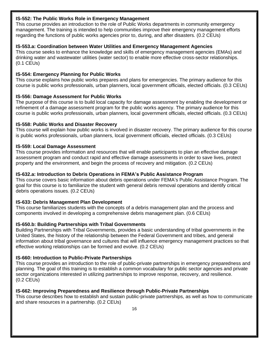#### **IS-552: The Public Works Role in Emergency Management**

This course provides an introduction to the role of Public Works departments in community emergency management. The training is intended to help communities improve their emergency management efforts regarding the functions of public works agencies prior to, during, and after disasters. (0.2 CEUs)

## **IS-553.a: Coordination between Water Utilities and Emergency Management Agencies**

This course seeks to enhance the knowledge and skills of emergency management agencies (EMAs) and drinking water and wastewater utilities (water sector) to enable more effective cross-sector relationships. (0.1 CEUs)

## **IS-554: Emergency Planning for Public Works**

This course explains how public works prepares and plans for emergencies. The primary audience for this course is public works professionals, urban planners, local government officials, elected officials. (0.3 CEUs)

#### **IS-556: Damage Assessment for Public Works**

The purpose of this course is to build local capacity for damage assessment by enabling the development or refinement of a damage assessment program for the public works agency. The primary audience for this course is public works professionals, urban planners, local government officials, elected officials. (0.3 CEUs)

#### **IS-558: Public Works and Disaster Recovery**

This course will explain how public works is involved in disaster recovery. The primary audience for this course is public works professionals, urban planners, local government officials, elected officials. (0.3 CEUs)

#### **IS-559: Local Damage Assessment**

This course provides information and resources that will enable participants to plan an effective damage assessment program and conduct rapid and effective damage assessments in order to save lives, protect property and the environment, and begin the process of recovery and mitigation. (0.2 CEUs)

## **IS-632.a: Introduction to Debris Operations in FEMA's Public Assistance Program**

This course covers basic information about debris operations under FEMA's Public Assistance Program. The goal for this course is to familiarize the student with general debris removal operations and identify critical debris operations issues. (0.2 CEUs)

## **IS-633: Debris Management Plan Development**

This course familiarizes students with the concepts of a debris management plan and the process and components involved in developing a comprehensive debris management plan. (0.6 CEUs)

## **IS-650.b: Building Partnerships with Tribal Governments**

Building Partnerships with Tribal Governments, provides a basic understanding of tribal governments in the United States, the history of the relationship between the Federal Government and tribes, and general information about tribal governance and cultures that will influence emergency management practices so that effective working relationships can be formed and evolve. (0.2 CEUs)

## **IS-660: Introduction to Public-Private Partnerships**

This course provides an introduction to the role of public-private partnerships in emergency preparedness and planning. The goal of this training is to establish a common vocabulary for public sector agencies and private sector organizations interested in utilizing partnerships to improve response, recovery, and resilience. (0.2 CEUs)

#### **IS-662: Improving Preparedness and Resilience through Public-Private Partnerships**

This course describes how to establish and sustain public-private partnerships, as well as how to communicate and share resources in a partnership. (0.2 CEUs)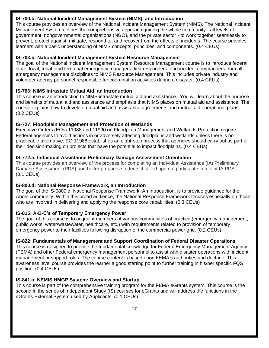#### **IS-700.b: National Incident Management System (NIMS), and Introduction**

This course provides an overview of the National Incident Management System (NIMS). The National Incident Management System defines the comprehensive approach guiding the whole community - all levels of government, nongovernmental organizations (NGO), and the private sector - to work together seamlessly to prevent, protect against, mitigate, respond to, and recover from the effects of incidents. The course provides learners with a basic understanding of NIMS concepts, principles, and components. (0.4 CEUs)

## **IS-703.b: National Incident Management System Resource Management**

The goal of the National Incident Management System Resource Management course is to introduce federal, state, local, tribal, and territorial emergency managers, first responders, and incident commanders from all emergency management disciplines to NIMS Resource Management. This includes private industry and volunteer agency personnel responsible for coordination activities during a disaster. (0.4 CEUs)

## **IS-706: NIMS Intrastate Mutual Aid, an Introduction**

This course is an introduction to NIMS intrastate mutual aid and assistance. You will learn about the purpose and benefits of mutual aid and assistance and emphasis that NIMS places on mutual aid and assistance. The course explains how to develop mutual aid and assistance agreements and mutual aid operational plans. (0.2 CEUs)

## **IS-727: Floodplain Management and Protection of Wetlands**

Executive Orders (EOs) 11988 and 11990 on Floodplain Management and Wetlands Protection require Federal agencies to avoid actions in or adversely affecting floodplains and wetlands unless there is no practicable alternative. EO 11988 establishes an eight-step process that agencies should carry out as part of their decision-making on projects that have the potential to impact floodplains. (0.4 CEUs)

## **IS-772.a: Individual Assistance Preliminary Damage Assessment Orientation**

This course provides an overview of the process for completing an Individual Assistance (IA) Preliminary Damage Assessment (PDA) and better prepares students if called upon to participate in a joint IA PDA. (0.1 CEUs)

## **IS-800.d: National Response Framework, an Introduction**

The goal of the IS-0800.d, National Response Framework, An Introduction, is to provide guidance for the whole community. Within this broad audience, the National Response Framework focuses especially on those who are involved in delivering and applying the response core capabilities. (0.3 CEUs)

# **IS-815: A-B-C's of Temporary Emergency Power**

The goal of this course is to acquaint members of various communities of practice (emergency management, public works, water/wastewater, healthcare, etc.) with requirements related to provision of temporary emergency power to their facilities following disruption of the commercial power grid. (0.2 CEUs)

# **IS-822: Fundamentals of Management and Support Coordination of Federal Disaster Operations**

This course is designed to provide the fundamental knowledge for Federal Emergency Management Agency (FEMA) and other Federal emergency management personnel to assist with disaster operations with incident management or support roles. The course content is based upon FEMA's authorities and doctrine. This awareness level course provides the learner a good starting point to further training in his/her specific FQS position. (0.4 CEUs)

## **IS-841.a: NEMIS HMGP System: Overview and Startup**

This course is part of the comprehensive training program for the FEMA eGrants system. This course is the second in the series of Independent Study (IS) courses for eGrants and will address the functions in the eGrants External System used by Applicants. (0.1 CEUs)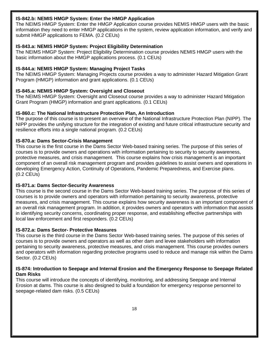#### **IS-842.b: NEMIS HMGP System: Enter the HMGP Application**

The NEIMS HMGP System: Enter the HMGP Application course provides NEMIS HMGP users with the basic information they need to enter HMGP applications in the system, review application information, and verify and submit HMGP applications to FEMA. (0.2 CEUs)

## **IS-843.a: NEMIS HMGP System: Project Eligibility Determination**

The NEIMS HMGP System: Project Eligibility Determination course provides NEMIS HMGP users with the basic information about the HMGP applications process. (0.1 CEUs)

#### **IS-844.a: NEMIS HMGP System: Managing Project Tasks**

The NEIMS HMGP System: Managing Projects course provides a way to administer Hazard Mitigation Grant Program (HMGP) information and grant applications. (0.1 CEUs)

#### **IS-845.a: NEMIS HMGP System: Oversight and Closeout**

The NEIMS HMGP System: Oversight and Closeout course provides a way to administer Hazard Mitigation Grant Program (HMGP) information and grant applications. (0.1 CEUs)

#### **IS-860.c: The National Infrastructure Protection Plan, An Introduction**

The purpose of this course is to present an overview of the National Infrastructure Protection Plan (NIPP). The NIPP provides the unifying structure for the integration of existing and future critical infrastructure security and resilience efforts into a single national program. (0.2 CEUs)

#### **IS-870.a: Dams Sector-Crisis Management**

This course is the first course in the Dams Sector Web-based training series. The purpose of this series of courses is to provide owners and operations with information pertaining to security to security awareness, protective measures, and crisis management. This course explains how crisis management is an important component of an overall risk management program and provides guidelines to assist owners and operations in developing Emergency Action, Continuity of Operations, Pandemic Preparedness, and Exercise plans. (0.2 CEUs)

#### **IS-871.a: Dams Sector-Security Awareness**

This course is the second course in the Dams Sector Web-based training series. The purpose of this series of courses is to provide owners and operators with information pertaining to security awareness, protective measures, and crisis management. This course explains how security awareness is an important component of an overall risk management program. In addition, it provides owners and operators with information that assists in identifying security concerns, coordinating proper response, and establishing effective partnerships with local law enforcement and first responders. (0.2 CEUs)

#### **IS-872.a: Dams Sector- Protective Measures**

This course is the third course in the Dams Sector Web-based training series. The purpose of this series of courses is to provide owners and operators as well as other dam and levee stakeholders with information pertaining to security awareness, protective measures, and crisis management. This course provides owners and operators with information regarding protective programs used to reduce and manage risk within the Dams Sector. (0.2 CEUs)

#### **IS-874: Introduction to Seepage and Internal Erosion and the Emergency Response to Seepage Related Dam Risks**

This course will introduce the concepts of identifying, monitoring, and addressing Seepage and Internal Erosion at dams. This course is also designed to build a foundation for emergency response personnel to seepage-related dam risks. (0.5 CEUs)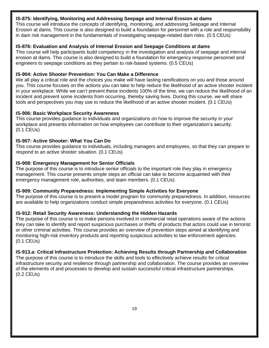## **IS-875: Identifying, Monitoring and Addressing Seepage and Internal Erosion at dams**

This course will introduce the concepts of identifying, monitoring, and addressing Seepage and Internal Erosion at dams. This course is also designed to build a foundation for personnel with a role and responsibility in dam risk management in the fundamentals of investigating seepage-related dam risks. (0.5 CEUs)

## **IS-876: Evaluation and Analysis of Internal Erosion and Seepage Conditions at dams**

This course will help participants build competency in the investigation and analysis of seepage and internal erosion at dams. This course is also designed to build a foundation for emergency response personnel and engineers to seepage conditions as they pertain to risk-based systems. (0.5 CEUs)

## **IS-904: Active Shooter Prevention: You Can Make a Difference**

We all play a critical role and the choices you make will have lasting ramifications on you and those around you. This course focuses on the actions you can take to help reduce the likelihood of an active shooter incident in your workplace. While we can't prevent these incidents 100% of the time, we can reduce the likelihood of an incident and prevent some incidents from occurring, thereby saving lives. During this course, we will share tools and perspectives you may use to reduce the likelihood of an active shooter incident. (0.1 CEUs)

#### **IS-906: Basic Workplace Security Awareness**

This course provides guidance to individuals and organizations on how to improve the security in your workplace and presents information on how employees can contribute to their organization's security. (0.1 CEUs)

#### **IS-907: Active Shooter: What You Can Do**

This course provides guidance to individuals, including managers and employees, so that they can prepare to respond to an active shooter situation. (0.1 CEUs)

#### **IS-908: Emergency Management for Senior Officials**

The purpose of this course is to introduce senior officials to the important role they play in emergency management. This course presents simple steps an official can take to become acquainted with their emergency management role, authorities, and team members. (0.1 CEUs)

#### **IS-909: Community Preparedness: Implementing Simple Activities for Everyone**

The purpose of this course is to present a model program for community preparedness. In addition, resources are available to help organizations conduct simple preparedness activities for everyone. (0.1 CEUs)

## **IS-912: Retail Security Awareness: Understanding the Hidden Hazards**

The purpose of this course is to make persons involved in commercial retail operations aware of the actions they can take to identify and report suspicious purchases or thefts of products that actors could use in terrorist or other criminal activities. This course provides an overview of prevention steps aimed at identifying and monitoring high-risk inventory products and reporting suspicious activities to law enforcement agencies. (0.1 CEUs)

## **IS-913.a: Critical Infrastructure Protection: Achieving Results through Partnership and Collaboration**

The purpose of this course is to introduce the skills and tools to effectively achieve results for critical infrastructure security and resilience through partnership and collaboration. The course provides an overview of the elements of and processes to develop and sustain successful critical infrastructure partnerships. (0.2 CEUs)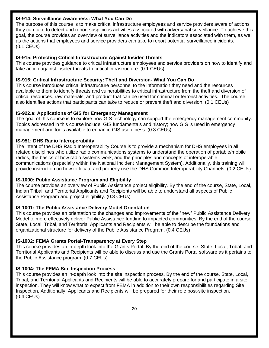## **IS-914: Surveillance Awareness: What You Can Do**

The purpose of this course is to make critical infrastructure employees and service providers aware of actions they can take to detect and report suspicious activities associated with adversarial surveillance. To achieve this goal, the course provides an overview of surveillance activities and the indicators associated with them, as well as the actions that employees and service providers can take to report potential surveillance incidents. (0.1 CEUs)

## **IS-915: Protecting Critical Infrastructure Against Insider Threats**

This course provides guidance to critical infrastructure employees and service providers on how to identify and take action against insider threats to critical infrastructure. (0.1 CEUs)

## **IS-916: Critical Infrastructure Security: Theft and Diversion- What You Can Do**

This course introduces critical infrastructure personnel to the information they need and the resources available to them to identify threats and vulnerabilities to critical infrastructure from the theft and diversion of critical resources, raw materials, and product that can be used for criminal or terrorist activities. The course also identifies actions that participants can take to reduce or prevent theft and diversion. (0.1 CEUs)

#### **IS-922.a: Applications of GIS for Emergency Management**

The goal of this course is to explore how GIS technology can support the emergency management community. Topics addressed in this course include: GIS fundamentals and history; how GIS is used in emergency management and tools available to enhance GIS usefulness. (0.3 CEUs)

#### **IS-951: DHS Radio Interoperability**

The intent of the DHS Radio Interoperability Course is to provide a mechanism for DHS employees in all related disciplines who utilize radio communications systems to understand the operation of portable/mobile radios, the basics of how radio systems work, and the principles and concepts of interoperable communications (especially within the National Incident Management System). Additionally, this training will provide instruction on how to locate and properly use the DHS Common Interoperability Channels. (0.2 CEUs)

## **IS-1000: Public Assistance Program and Eligibility**

The course provides an overview of Public Assistance project eligibility. By the end of the course, State, Local, Indian Tribal, and Territorial Applicants and Recipients will be able to understand all aspects of Public Assistance Program and project eligibility. (0.8 CEUs)

## **IS-1001: The Public Assistance Delivery Model Orientation**

This course provides an orientation to the changes and improvements of the "new" Public Assistance Delivery Model to more effectively deliver Public Assistance funding to impacted communities. By the end of the course, State, Local, Tribal, and Territorial Applicants and Recipients will be able to describe the foundations and organizational structure for delivery of the Public Assistance Program. (0.4 CEUs)

#### **IS-1002: FEMA Grants Portal-Transparency at Every Step**

This course provides an in-depth look into the Grants Portal. By the end of the course, State, Local, Tribal, and Territorial Applicants and Recipients will be able to discuss and use the Grants Portal software as it pertains to the Public Assistance program. (0.7 CEUs)

#### **IS-1004: The FEMA Site Inspection Process**

This course provides an in-depth look into the site inspection process. By the end of the course, State, Local, Tribal, and Territorial Applicants and Recipients will be able to accurately prepare for and participate in a site inspection. They will know what to expect from FEMA in addition to their own responsibilities regarding Site Inspection. Additionally, Applicants and Recipients will be prepared for their role post-site inspection. (0.4 CEUs)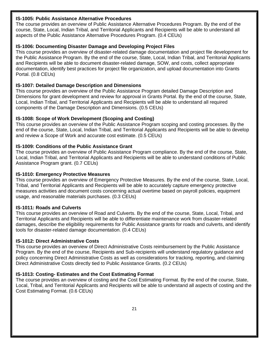#### **IS-1005: Public Assistance Alternative Procedures**

The course provides an overview of Public Assistance Alternative Procedures Program. By the end of the course, State, Local, Indian Tribal, and Territorial Applicants and Recipients will be able to understand all aspects of the Public Assistance Alternative Procedures Program. (0.4 CEUs)

## **IS-1006: Documenting Disaster Damage and Developing Project Files**

This course provides an overview of disaster-related damage documentation and project file development for the Public Assistance Program. By the end of the course, State, Local, Indian Tribal, and Territorial Applicants and Recipients will be able to document disaster-related damage, SOW, and costs, collect appropriate documentation, identify best practices for project file organization, and upload documentation into Grants Portal. (0.8 CEUs)

## **IS-1007: Detailed Damage Description and Dimensions**

This course provides an overview of the Public Assistance Program detailed Damage Description and Dimensions for grant development and review for approval in Grants Portal. By the end of the course, State, Local, Indian Tribal, and Territorial Applicants and Recipients will be able to understand all required components of the Damage Description and Dimensions. (0.5 CEUs)

## **IS-1008: Scope of Work Development (Scoping and Costing)**

This course provides an overview of the Public Assistance Program scoping and costing processes. By the end of the course, State, Local, Indian Tribal, and Territorial Applicants and Recipients will be able to develop and review a Scope of Work and accurate cost estimate. (0.5 CEUs)

## **IS-1009: Conditions of the Public Assistance Grant**

The course provides an overview of Public Assistance Program compliance. By the end of the course, State, Local, Indian Tribal, and Territorial Applicants and Recipients will be able to understand conditions of Public Assistance Program grant. (0.7 CEUs)

## **IS-1010: Emergency Protective Measures**

This course provides an overview of Emergency Protective Measures. By the end of the course, State, Local, Tribal, and Territorial Applicants and Recipients will be able to accurately capture emergency protective measures activities and document costs concerning actual overtime based on payroll policies, equipment usage, and reasonable materials purchases. (0.3 CEUs)

## **IS-1011: Roads and Culverts**

This course provides an overview of Road and Culverts. By the end of the course, State, Local, Tribal, and Territorial Applicants and Recipients will be able to differentiate maintenance work from disaster-related damages, describe the eligibility requirements for Public Assistance grants for roads and culverts, and identify tools for disaster-related damage documentation. (0.4 CEUs)

## **IS-1012: Direct Administrative Costs**

This course provides an overview of Direct Administrative Costs reimbursement by the Public Assistance Program. By the end of the course, Recipients and Sub-recipients will understand regulatory guidance and policy concerning Direct Administrative Costs as well as considerations for tracking, reporting, and claiming Direct Administrative Costs directly tied to Public Assistance Grants. (0.2 CEUs)

## **IS-1013: Costing- Estimates and the Cost Estimating Format**

The course provides an overview of costing and the Cost Estimating Format. By the end of the course, State, Local, Tribal, and Territorial Applicants and Recipients will be able to understand all aspects of costing and the Cost Estimating Format. (0.6 CEUs)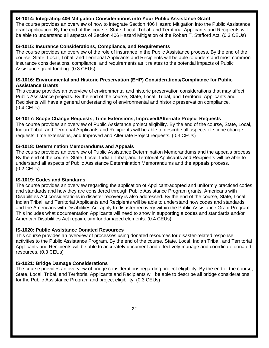#### **IS-1014: Integrating 406 Mitigation Considerations into Your Public Assistance Grant**

The course provides an overview of how to integrate Section 406 Hazard Mitigation into the Public Assistance grant application. By the end of this course, State, Local, Tribal, and Territorial Applicants and Recipients will be able to understand all aspects of Section 406 Hazard Mitigation of the Robert T. Stafford Act. (0.3 CEUs)

## **IS-1015: Insurance Considerations, Compliance, and Requirements**

The course provides an overview of the role of insurance in the Public Assistance process. By the end of the course, State, Local, Tribal, and Territorial Applicants and Recipients will be able to understand most common insurance considerations, compliance, and requirements as it relates to the potential impacts of Public Assistance grant funding. (0.3 CEUs)

#### **IS-1016: Environmental and Historic Preservation (EHP) Considerations/Compliance for Public Assistance Grants**

This course provides an overview of environmental and historic preservation considerations that may affect Public Assistance projects. By the end of the course, State, Local, Tribal, and Territorial Applicants and Recipients will have a general understanding of environmental and historic preservation compliance. (0.4 CEUs)

## **IS-1017: Scope Change Requests, Time Extensions, Improved/Alternate Project Requests**

The course provides an overview of Public Assistance project eligibility. By the end of the course, State, Local, Indian Tribal, and Territorial Applicants and Recipients will be able to describe all aspects of scope change requests, time extensions, and Improved and Alternate Project requests. (0.3 CEUs)

#### **IS-1018: Determination Memorandums and Appeals**

The course provides an overview of Public Assistance Determination Memorandums and the appeals process. By the end of the course, State, Local, Indian Tribal, and Territorial Applicants and Recipients will be able to understand all aspects of Public Assistance Determination Memorandums and the appeals process. (0.2 CEUs)

#### **IS-1019: Codes and Standards**

The course provides an overview regarding the application of Applicant-adopted and uniformly practiced codes and standards and how they are considered through Public Assistance Program grants. Americans with Disabilities Act considerations in disaster recovery is also addressed. By the end of the course, State, Local, Indian Tribal, and Territorial Applicants and Recipients will be able to understand how codes and standards and the Americans with Disabilities Act apply to disaster recovery within the Public Assistance Grant Program. This includes what documentation Applicants will need to show in supporting a codes and standards and/or American Disabilities Act repair claim for damaged elements. (0.4 CEUs)

#### **IS-1020: Public Assistance Donated Resources**

This course provides an overview of processes using donated resources for disaster-related response activities to the Public Assistance Program. By the end of the course, State, Local, Indian Tribal, and Territorial Applicants and Recipients will be able to accurately document and effectively manage and coordinate donated resources. (0.3 CEUs)

## **IS-1021: Bridge Damage Considerations**

The course provides an overview of bridge considerations regarding project eligibility. By the end of the course, State, Local, Tribal, and Territorial Applicants and Recipients will be able to describe all bridge considerations for the Public Assistance Program and project eligibility. (0.3 CEUs)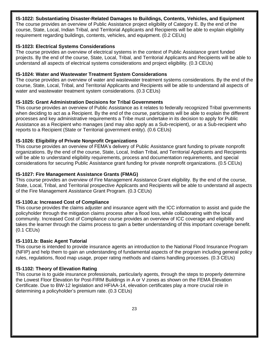## **IS-1022: Substantiating Disaster-Related Damages to Buildings, Contents, Vehicles, and Equipment**

The course provides an overview of Public Assistance project eligibility of Category E. By the end of the course, State, Local, Indian Tribal, and Territorial Applicants and Recipients will be able to explain eligibility requirement regarding buildings, contents, vehicles, and equipment. (0.2 CEUs)

#### **IS-1023: Electrical Systems Considerations**

The course provides an overview of electrical systems in the context of Public Assistance grant funded projects. By the end of the course, State, Local, Tribal, and Territorial Applicants and Recipients will be able to understand all aspects of electrical systems considerations and project eligibility. (0.3 CEUs)

#### **IS-1024: Water and Wastewater Treatment System Considerations**

The course provides an overview of water and wastewater treatment systems considerations. By the end of the course, State, Local, Tribal, and Territorial Applicants and Recipients will be able to understand all aspects of water and wastewater treatment system considerations. (0.3 CEUs)

#### **IS-1025: Grant Administration Decisions for Tribal Governments**

This course provides an overview of Public Assistance as it relates to federally recognized Tribal governments when deciding to act as a Recipient. By the end of the course, participants will be able to explain the different processes and key administrative requirements a Tribe must undertake in its decision to apply for Public Assistance as a Recipient who manages (and may also apply as a Sub-recipient), or as a Sub-recipient who reports to a Recipient (State or Territorial government entity). (0.6 CEUs)

#### **IS-1026: Eligibility of Private Nonprofit Organizations**

This course provides an overview of FEMA's delivery of Public Assistance grant funding to private nonprofit organizations. By the end of the course, State, Local, Indian Tribal, and Territorial Applicants and Recipients will be able to understand eligibility requirements, process and documentation requirements, and special considerations for securing Public Assistance grant funding for private nonprofit organizations. (0.5 CEUs)

#### **IS-1027: Fire Management Assistance Grants (FMAG)**

This course provides an overview of Fire Management Assistance Grant eligibility. By the end of the course, State, Local, Tribal, and Territorial prospective Applicants and Recipients will be able to understand all aspects of the Fire Management Assistance Grant Program. (0.3 CEUs)

#### **IS-1100.a: Increased Cost of Compliance**

This course provides the claims adjuster and insurance agent with the ICC information to assist and guide the policyholder through the mitigation claims process after a flood loss, while collaborating with the local community. Increased Cost of Compliance course provides an overview of ICC coverage and eligibility and takes the learner through the claims process to gain a better understanding of this important coverage benefit. (0.1 CEUs)

#### **IS-1101.b: Basic Agent Tutorial**

This course is intended to provide insurance agents an introduction to the National Flood Insurance Program (NFIP) and help them to gain an understanding of fundamental aspects of the program including general policy rules, regulations, flood map usage, proper rating methods and claims handling processes. (0.3 CEUs)

#### **IS-1102: Theory of Elevation Rating**

This course is to guide insurance professionals, particularly agents, through the steps to properly determine the Lowest Floor Elevation for Post-FIRM Buildings in A or V zones as shown on the FEMA Elevation Certificate. Due to BW-12 legislation and HFIAA-14, elevation certificates play a more crucial role in determining a policyholder's premium rate. (0.3 CEUs)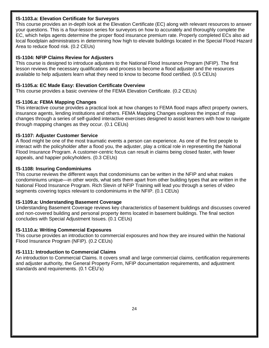#### **IS-1103.a: Elevation Certificate for Surveyors**

This course provides an in-depth look at the Elevation Certificate (EC) along with relevant resources to answer your questions. This is a four-lesson series for surveyors on how to accurately and thoroughly complete the EC, which helps agents determine the proper flood insurance premium rate. Properly completed ECs also aid local floodplain administrators in determining how high to elevate buildings located in the Special Flood Hazard Area to reduce flood risk. (0.2 CEUs)

## **IS-1104: NFIP Claims Review for Adjusters**

This course is designed to introduce adjusters to the National Flood Insurance Program (NFIP). The first lesson reviews the necessary qualifications and process to become a flood adjuster and the resources available to help adjusters learn what they need to know to become flood certified. (0.5 CEUs)

## **IS-1105.a: EC Made Easy: Elevation Certificate Overview**

This course provides a basic overview of the FEMA Elevation Certificate. (0.2 CEUs)

## **IS-1106.a: FEMA Mapping Changes**

This interactive course provides a practical look at how changes to FEMA flood maps affect property owners, insurance agents, lending institutions and others. FEMA Mapping Changes explores the impact of map changes through a series of self-guided interactive exercises designed to assist learners with how to navigate through mapping changes as they occur. (0.1 CEUs)

## **IS-1107: Adjuster Customer Service**

A flood might be one of the most traumatic events a person can experience. As one of the first people to interact with the policyholder after a flood you, the adjuster, play a critical role in representing the National Flood Insurance Program. A customer-centric focus can result in claims being closed faster, with fewer appeals, and happier policyholders. (0.3 CEUs)

## **IS-1108: Insuring Condominiums**

This course reviews the different ways that condominiums can be written in the NFIP and what makes condominiums unique—in other words, what sets them apart from other building types that are written in the National Flood Insurance Program. Rich Slevin of NFIP Training will lead you through a series of video segments covering topics relevant to condominiums in the NFIP. (0.1 CEUs)

## **IS-1109.a: Understanding Basement Coverage**

Understanding Basement Coverage reviews key characteristics of basement buildings and discusses covered and non-covered building and personal property items located in basement buildings. The final section concludes with Special Adjustment Issues. (0.1 CEUs)

## **IS-1110.a: Writing Commercial Exposures**

This course provides an introduction to commercial exposures and how they are insured within the National Flood Insurance Program (NFIP). (0.2 CEUs)

## **IS-1111: Introduction to Commercial Claims**

An introduction to Commercial Claims. It covers small and large commercial claims, certification requirements and adjuster authority, the General Property Form, NFIP documentation requirements, and adjustment standards and requirements. (0.1 CEU's)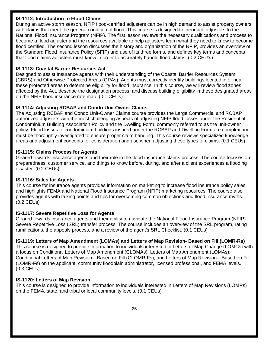## **IS-1112: Introduction to Flood Claims**

During an active storm season, NFIP flood-certified adjusters can be in high demand to assist property owners with claims that meet the general condition of flood. This course is designed to introduce adjusters to the National Flood Insurance Program (NFIP). The first lesson reviews the necessary qualifications and process to become a flood adjuster and the resources available to help adjusters learn what they need to know to become flood certified. The second lesson discusses the history and organization of the NFIP, provides an overview of the Standard Flood Insurance Policy (SFIP) and use of its three forms, and defines key terms and concepts that flood claims adjusters must know in order to accurately handle flood claims. (0.2 CEU's)

## **IS-1113: Coastal Barrier Resources Act**

Designed to assist Insurance agents with their understanding of the Coastal Barrier Resources System (CBRS) and Otherwise Protected Areas (OPAs). Agents must correctly identify buildings located in or near these protected areas to determine eligibility for flood insurance. In this course, we will review flood zones affected by the Act, describe the designation process, and discuss building eligibility in these designated areas on the NFIP flood insurance rate map. (0.1 CEUs)

## **IS-1114: Adjusting RCBAP and Condo Unit Owner Claims**

The Adjusting RCBAP and Condo Unit-Owner Claims course provides the Large Commercial and RCBAP authorized adjusters with the most challenging aspects of adjusting NFIP flood losses under the Residential Condominium Building Association Policy and the Dwelling Form, commonly referred to as the unit-owner policy. Flood losses to condominium buildings insured under the RCBAP and Dwelling Form are complex and must be thoroughly investigated to ensure proper claim handling. This course reviews specialized knowledge areas and adjustment concepts for consideration and use when adjusting these types of claims. (0.1 CEUs)

#### **IS-1115: Claims Process for Agents**

Geared towards insurance agents and their role in the flood insurance claims process. The course focuses on preparedness, customer service, and things to know before, during, and after a client experiences a flooding disaster. (0.2 CEUs)

## **IS-1116: Sales for Agents**

This course for insurance agents provides information on marketing to increase flood insurance policy sales and highlights FEMA and National Flood Insurance Program (NFIP) marketing resources. The course also provides agents with talking points and tips for overcoming common objections and flood insurance myths. (0.2 CEUs)

## **IS-1117: Severe Repetitive Loss for Agents**

Geared towards insurance agents and their ability to navigate the National Flood Insurance Program (NFIP) Severe Repetitive Loss (SRL) transfer process. The course includes an overview of the SRL program, rating ramifications, the appeals process, and a review of the agent's SRL Checklist. (0.1 CEUs)

## **IS-1119: Letters of Map Amendment (LOMAs) and Letters of Map Revision- Based on Fill (LOMR-Rs)**

This course is designed to provide information to individuals interested in Letters of Map Change (LOMCs) with a focus on Conditional Letters of Map Amendment (CLOMAs); Letters of Map Amendment (LOMAs); Conditional Letters of Map Revision—Based on Fill (CLOMR-Fs); and Letters of Map Revision—Based on Fill (LOMR-Fs) on the applicant, community floodplain administrator, licensed professional, and FEMA levels. (0.3 CEUs)

## **IS-1120: Letters of Map Revision**

This course is designed to provide information to individuals interested in Letters of Map Revisions (LOMRs) on the FEMA, state, and tribal or local community levels. (0.1 CEUs)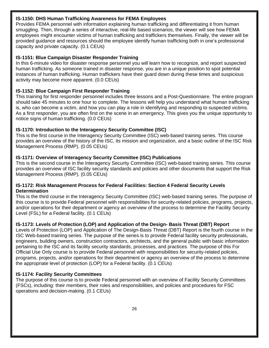#### **IS-1150: DHS Human Trafficking Awareness for FEMA Employees**

Provides FEMA personnel with information explaining human trafficking and differentiating it from human smuggling. Then, through a series of interactive, real-life based scenarios, the viewer will see how FEMA employees might encounter victims of human trafficking and traffickers themselves. Finally, the viewer will be provided guidance and resources should the employee identify human trafficking both in one's professional capacity and private capacity. (0.1 CEUs)

## **IS-1151: Blue Campaign Disaster Responder Training**

In this 6-minute video for disaster response personnel you will learn how to recognize, and report suspected human trafficking. As someone trained in disaster response, you are in a unique position to spot potential instances of human trafficking. Human traffickers have their guard down during these times and suspicious activity may become more apparent. (0.0 CEUs)

## **IS-1152: Blue Campaign First Responder Training**

This training for first responder personnel includes three lessons and a Post-Questionnaire. The entire program should take 45 minutes to one hour to complete. The lessons will help you understand what human trafficking is, who can become a victim, and how you can play a role in identifying and responding to suspected victims. As a first responder, you are often first on the scene in an emergency. This gives you the unique opportunity to notice signs of human trafficking. (0.0 CEUs)

#### **IS-1170: Introduction to the Interagency Security Committee (ISC)**

This is the first course in the Interagency Security Committee (ISC) web-based training series. This course provides an overview of the history of the ISC, its mission and organization, and a basic outline of the ISC Risk Management Process (RMP). (0.05 CEUs)

#### **IS-1171: Overview of Interagency Security Committee (ISC) Publications**

This is the second course in the Interagency Security Committee (ISC) web-based training series. This course provides an overview of ISC facility security standards and policies and other documents that support the Risk Management Process (RMP). (0.05 CEUs)

#### **IS-1172: Risk Management Process for Federal Facilities: Section 4 Federal Security Levels Determination**

This is the third course in the Interagency Security Committee (ISC) web-based training series. The purpose of this course is to provide Federal personnel with responsibilities for security-related policies, programs, projects, and/or operations for their department or agency an overview of the process to determine the Facility Security Level (FSL) for a Federal facility. (0.1 CEUs)

## **IS-1173: Levels of Protection (LOP) and Application of the Design- Basis Threat (DBT) Report**

Levels of Protection (LOP) and Application of The Design-Basis Threat (DBT) Report is the fourth course in the ISC Web-based training series. The purpose of the series is to provide Federal facility security professionals, engineers, building owners, construction contractors, architects, and the general public with basic information pertaining to the ISC and its facility security standards, processes, and practices. The purpose of this For Official Use Only course is to provide Federal personnel with responsibilities for security-related policies, programs, projects, and/or operations for their department or agency an overview of the process to determine the appropriate level of protection (LOP) for a Federal facility. (0.1 CEUs)

## **IS-1174: Facility Security Committees**

The purpose of this course is to provide Federal personnel with an overview of Facility Security Committees (FSCs), including: their members, their roles and responsibilities, and policies and procedures for FSC operations and decision-making. (0.1 CEUs)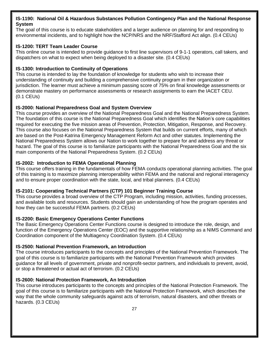## **IS-1190: National Oil & Hazardous Substances Pollution Contingency Plan and the National Response System**

The goal of this course is to educate stakeholders and a larger audience on planning for and responding to environmental incidents, and to highlight how the NCP/NRS and the NRF/Stafford Act align. (0.4 CEUs)

## **IS-1200: TERT Team Leader Course**

This online course is intended to provide guidance to first line supervisors of 9-1-1 operators, call takers, and dispatchers on what to expect when being deployed to a disaster site. (0.4 CEUs)

#### **IS-1300: Introduction to Continuity of Operations**

This course is intended to lay the foundation of knowledge for students who wish to increase their understanding of continuity and building a comprehensive continuity program in their organization or jurisdiction. The learner must achieve a minimum passing score of 75% on final knowledge assessments or demonstrate mastery on performance assessments or research assignments to earn the IACET CEU. (0.1 CEUs)

#### **IS-2000: National Preparedness Goal and System Overview**

This course provides an overview of the National Preparedness Goal and the National Preparedness System. The foundation of this course is the National Preparedness Goal which identifies the Nation's core capabilities required for executing the five mission areas of Prevention, Protection, Mitigation, Response, and Recovery. This course also focuses on the National Preparedness System that builds on current efforts, many of which are based on the Post-Katrina Emergency Management Reform Act and other statutes. Implementing the National Preparedness System allows our Nation to work together to prepare for and address any threat or hazard. The goal of this course is to familiarize participants with the National Preparedness Goal and the six main components of the National Preparedness System. (0.2 CEUs)

#### **IS-2002: Introduction to FEMA Operational Planning**

This course offers training in the fundamentals of how FEMA conducts operational planning activities. The goal of this training is to maximize planning interoperability within FEMA and the national and regional interagency and to ensure proper coordination with the state, local, and tribal planners. (0.4 CEUs)

## **IS-2101: Cooperating Technical Partners (CTP) 101 Beginner Training Course**

This course provides a broad overview of the CTP Program, including mission, activities, funding processes, and available tools and resources. Students should gain an understanding of how the program operates and how they can be successful FEMA partners. (0.2 CEUs)

## **IS-2200: Basic Emergency Operations Center Functions**

The Basic Emergency Operations Center Functions course is designed to introduce the role, design, and function of the Emergency Operations Center (EOC) and the supportive relationship as a NIMS Command and Coordination component of the Multiagency Coordination System. (0.4 CEUs)

## **IS-2500: National Prevention Framework, an Introduction**

The course introduces participants to the concepts and principles of the National Prevention Framework. The goal of this course is to familiarize participants with the National Prevention Framework which provides guidance for all levels of government, private and nonprofit-sector partners, and individuals to prevent, avoid, or stop a threatened or actual act of terrorism. (0.2 CEUs)

#### **IS-2600: National Protection Framework, An Introduction**

This course introduces participants to the concepts and principles of the National Protection Framework. The goal of this course is to familiarize participants with the National Protection Framework, which describes the way that the whole community safeguards against acts of terrorism, natural disasters, and other threats or hazards. (0.3 CEUs)